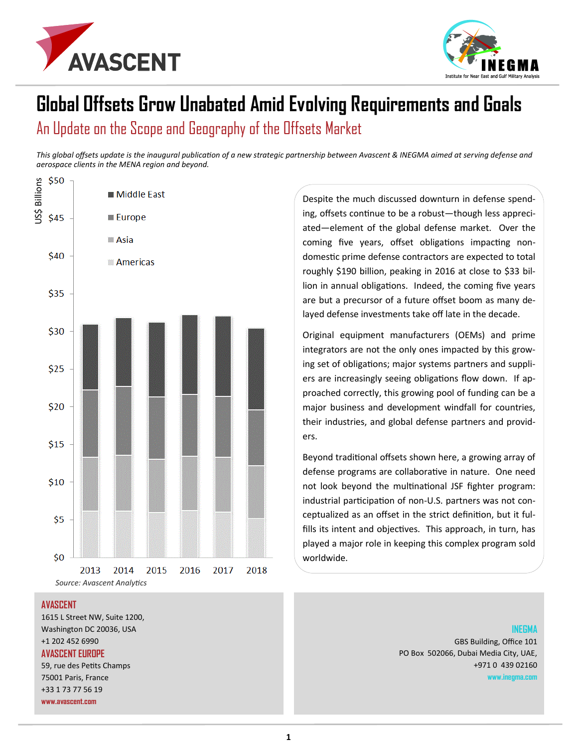



# **Global Offsets Grow Unabated Amid Evolving Requirements and Goals** An Update on the Scope and Geography of the Offsets Market

*This global offsets update is the inaugural publication of a new strategic partnership between Avascent & INEGMA aimed at serving defense and aerospace clients in the MENA region and beyond.*



#### **AVASCENT**

1615 L Street NW, Suite 1200, Washington DC 20036, USA +1 202 452 6990 **AVASCENT EUROPE** 59, rue des Petits Champs 75001 Paris, France +33 1 73 77 56 19 **www.avascent.com**

Despite the much discussed downturn in defense spending, offsets continue to be a robust—though less appreciated—element of the global defense market. Over the coming five years, offset obligations impacting nondomestic prime defense contractors are expected to total roughly \$190 billion, peaking in 2016 at close to \$33 billion in annual obligations. Indeed, the coming five years are but a precursor of a future offset boom as many delayed defense investments take off late in the decade.

Original equipment manufacturers (OEMs) and prime integrators are not the only ones impacted by this growing set of obligations; major systems partners and suppliers are increasingly seeing obligations flow down. If approached correctly, this growing pool of funding can be a major business and development windfall for countries, their industries, and global defense partners and providers.

Beyond traditional offsets shown here, a growing array of defense programs are collaborative in nature. One need not look beyond the multinational JSF fighter program: industrial participation of non-U.S. partners was not conceptualized as an offset in the strict definition, but it fulfills its intent and objectives. This approach, in turn, has played a major role in keeping this complex program sold worldwide.

#### **INEGMA**

GBS Building, Office 101 PO Box 502066, Dubai Media City, UAE, +971 0 439 02160 **www.inegma.com**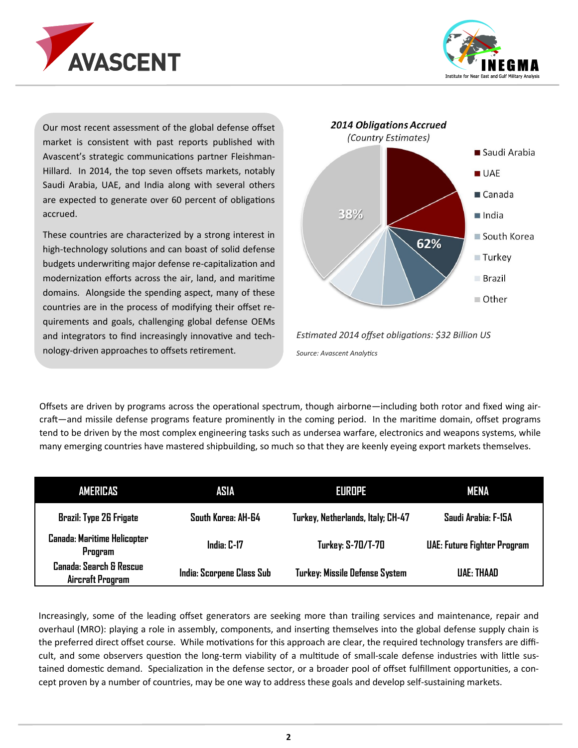



Our most recent assessment of the global defense offset market is consistent with past reports published with Avascent's strategic communications partner Fleishman-Hillard. In 2014, the top seven offsets markets, notably Saudi Arabia, UAE, and India along with several others are expected to generate over 60 percent of obligations accrued.

These countries are characterized by a strong interest in high-technology solutions and can boast of solid defense budgets underwriting major defense re-capitalization and modernization efforts across the air, land, and maritime domains. Alongside the spending aspect, many of these countries are in the process of modifying their offset requirements and goals, challenging global defense OEMs and integrators to find increasingly innovative and technology-driven approaches to offsets retirement.





Offsets are driven by programs across the operational spectrum, though airborne—including both rotor and fixed wing aircraft—and missile defense programs feature prominently in the coming period. In the maritime domain, offset programs tend to be driven by the most complex engineering tasks such as undersea warfare, electronics and weapons systems, while many emerging countries have mastered shipbuilding, so much so that they are keenly eyeing export markets themselves.

| <b>AMERICAS</b>                               | ASIA                      | EUROPE                            | <b>MENA</b>                 |
|-----------------------------------------------|---------------------------|-----------------------------------|-----------------------------|
| <b>Brazil: Type 26 Frigate</b>                | South Korea: AH-64        | Turkey, Netherlands, Italy; CH-47 | Saudi Arabia: F-15A         |
| <b>Canada: Maritime Helicopter</b><br>Program | India: C-17               | <b>Turkey: S-70/T-70</b>          | UAE: Future Fighter Program |
| Canada: Search & Rescue<br>Aircraft Program   | India: Scorpene Class Sub | Turkey: Missile Defense System    | <b>UAE: THAAD</b>           |

Increasingly, some of the leading offset generators are seeking more than trailing services and maintenance, repair and overhaul (MRO): playing a role in assembly, components, and inserting themselves into the global defense supply chain is the preferred direct offset course. While motivations for this approach are clear, the required technology transfers are difficult, and some observers question the long-term viability of a multitude of small-scale defense industries with little sustained domestic demand. Specialization in the defense sector, or a broader pool of offset fulfillment opportunities, a concept proven by a number of countries, may be one way to address these goals and develop self-sustaining markets.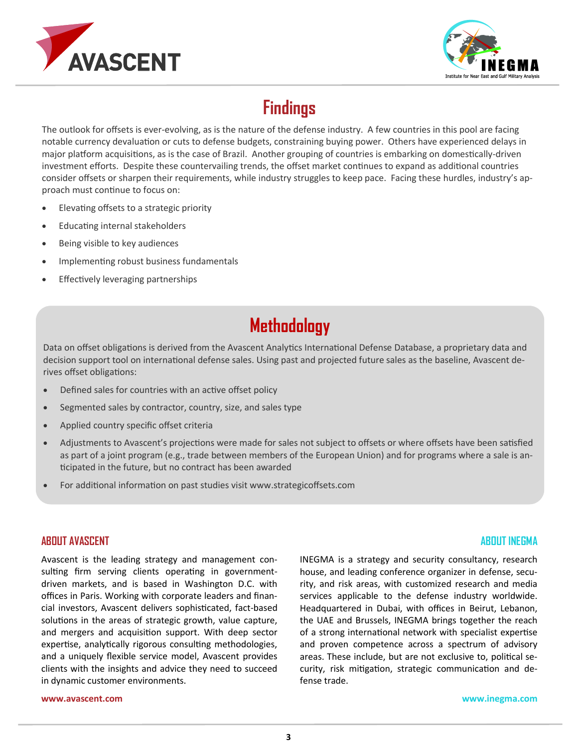



# **Findings**

The outlook for offsets is ever-evolving, as is the nature of the defense industry. A few countries in this pool are facing notable currency devaluation or cuts to defense budgets, constraining buying power. Others have experienced delays in major platform acquisitions, as is the case of Brazil. Another grouping of countries is embarking on domestically-driven investment efforts. Despite these countervailing trends, the offset market continues to expand as additional countries consider offsets or sharpen their requirements, while industry struggles to keep pace. Facing these hurdles, industry's approach must continue to focus on:

- Elevating offsets to a strategic priority
- Educating internal stakeholders
- Being visible to key audiences
- Implementing robust business fundamentals
- **•** Effectively leveraging partnerships

### **Methodology**

Data on offset obligations is derived from the Avascent Analytics International Defense Database, a proprietary data and decision support tool on international defense sales. Using past and projected future sales as the baseline, Avascent derives offset obligations:

- Defined sales for countries with an active offset policy
- Segmented sales by contractor, country, size, and sales type
- Applied country specific offset criteria
- Adjustments to Avascent's projections were made for sales not subject to offsets or where offsets have been satisfied as part of a joint program (e.g., trade between members of the European Union) and for programs where a sale is anticipated in the future, but no contract has been awarded
- For additional information on past studies visit www.strategicoffsets.com

### **ABOUT AVASCENT**

Avascent is the leading strategy and management consulting firm serving clients operating in governmentdriven markets, and is based in Washington D.C. with offices in Paris. Working with corporate leaders and financial investors, Avascent delivers sophisticated, fact-based solutions in the areas of strategic growth, value capture, and mergers and acquisition support. With deep sector expertise, analytically rigorous consulting methodologies, and a uniquely flexible service model, Avascent provides clients with the insights and advice they need to succeed in dynamic customer environments.

### **ABOUT INEGMA**

INEGMA is a strategy and security consultancy, research house, and leading conference organizer in defense, security, and risk areas, with customized research and media services applicable to the defense industry worldwide. Headquartered in Dubai, with offices in Beirut, Lebanon, the UAE and Brussels, INEGMA brings together the reach of a strong international network with specialist expertise and proven competence across a spectrum of advisory areas. These include, but are not exclusive to, political security, risk mitigation, strategic communication and defense trade.

**www.avascent.com**